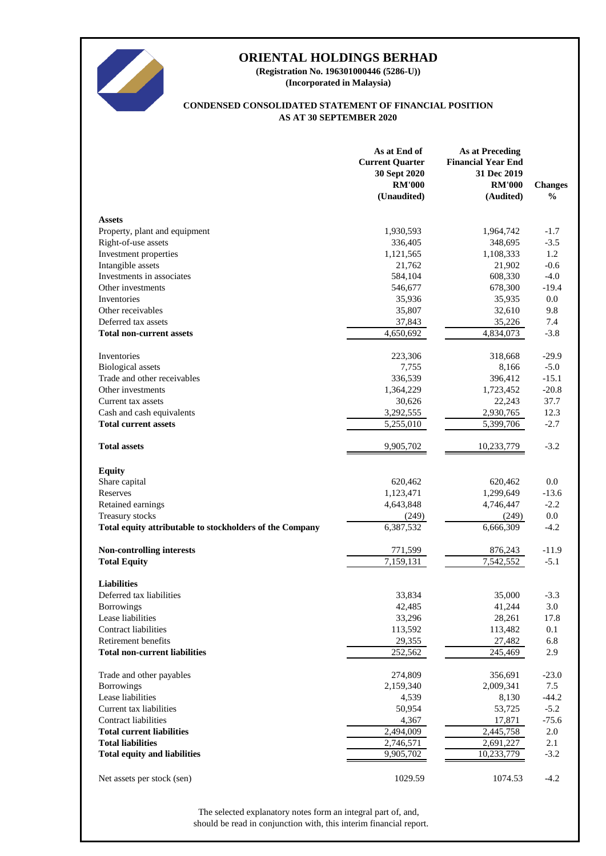

**(Incorporated in Malaysia) (Registration No. 196301000446 (5286-U))**

#### **AS AT 30 SEPTEMBER 2020 CONDENSED CONSOLIDATED STATEMENT OF FINANCIAL POSITION**

|                                                          | As at End of<br><b>Current Quarter</b><br>30 Sept 2020<br><b>RM'000</b><br>(Unaudited) | <b>As at Preceding</b><br><b>Financial Year End</b><br>31 Dec 2019<br><b>RM'000</b><br>(Audited) | <b>Changes</b><br>$\frac{0}{0}$ |
|----------------------------------------------------------|----------------------------------------------------------------------------------------|--------------------------------------------------------------------------------------------------|---------------------------------|
| <b>Assets</b>                                            |                                                                                        |                                                                                                  |                                 |
| Property, plant and equipment                            | 1,930,593                                                                              | 1,964,742                                                                                        | $-1.7$                          |
| Right-of-use assets                                      | 336,405                                                                                | 348,695                                                                                          | $-3.5$                          |
| Investment properties                                    | 1,121,565                                                                              | 1,108,333                                                                                        | 1.2                             |
| Intangible assets                                        | 21,762                                                                                 | 21,902                                                                                           | $-0.6$                          |
| Investments in associates                                | 584,104                                                                                | 608,330                                                                                          | $-4.0$                          |
| Other investments                                        | 546,677                                                                                | 678,300                                                                                          | $-19.4$                         |
| Inventories                                              | 35,936                                                                                 | 35,935                                                                                           | 0.0                             |
| Other receivables                                        | 35,807                                                                                 | 32,610                                                                                           | 9.8                             |
| Deferred tax assets                                      | 37,843                                                                                 | 35,226                                                                                           | 7.4                             |
| <b>Total non-current assets</b>                          | 4,650,692                                                                              | 4,834,073                                                                                        | $-3.8$                          |
| Inventories                                              | 223,306                                                                                | 318,668                                                                                          | $-29.9$                         |
| <b>Biological</b> assets                                 | 7,755                                                                                  | 8,166                                                                                            | $-5.0$                          |
| Trade and other receivables                              | 336,539                                                                                | 396,412                                                                                          | $-15.1$                         |
| Other investments                                        | 1,364,229                                                                              | 1,723,452                                                                                        | $-20.8$                         |
| Current tax assets                                       | 30,626                                                                                 | 22,243                                                                                           | 37.7                            |
| Cash and cash equivalents                                | 3,292,555                                                                              | 2,930,765                                                                                        | 12.3                            |
| <b>Total current assets</b>                              | $\overline{5,}255,010$                                                                 | 5,399,706                                                                                        | $-2.7$                          |
| <b>Total assets</b>                                      | 9,905,702                                                                              | 10,233,779                                                                                       | $-3.2$                          |
| <b>Equity</b>                                            |                                                                                        |                                                                                                  |                                 |
| Share capital                                            | 620,462                                                                                | 620,462                                                                                          | 0.0                             |
| Reserves                                                 | 1,123,471                                                                              | 1,299,649                                                                                        | $-13.6$                         |
| Retained earnings                                        | 4,643,848                                                                              | 4,746,447                                                                                        | $-2.2$                          |
| Treasury stocks                                          | (249)                                                                                  | (249)                                                                                            | 0.0                             |
| Total equity attributable to stockholders of the Company | 6,387,532                                                                              | 6,666,309                                                                                        | $-4.2$                          |
| Non-controlling interests                                | 771,599                                                                                | 876,243                                                                                          | $-11.9$                         |
| <b>Total Equity</b>                                      | 7,159,131                                                                              | 7,542,552                                                                                        | $-5.1$                          |
| <b>Liabilities</b>                                       |                                                                                        |                                                                                                  |                                 |
| Deferred tax liabilities                                 | 33.834                                                                                 | 35,000                                                                                           | $-3.3$                          |
| <b>Borrowings</b>                                        | 42,485                                                                                 | 41,244                                                                                           | 3.0                             |
| Lease liabilities                                        | 33,296                                                                                 | 28,261                                                                                           | 17.8                            |
| <b>Contract liabilities</b>                              | 113,592                                                                                | 113,482                                                                                          | 0.1                             |
| Retirement benefits                                      | 29,355                                                                                 | 27,482                                                                                           | 6.8                             |
| <b>Total non-current liabilities</b>                     | 252,562                                                                                | 245,469                                                                                          | 2.9                             |
| Trade and other payables                                 | 274,809                                                                                | 356,691                                                                                          | $-23.0$                         |
| <b>Borrowings</b>                                        | 2,159,340                                                                              | 2,009,341                                                                                        | 7.5                             |
| Lease liabilities                                        | 4,539                                                                                  | 8,130                                                                                            | $-44.2$                         |
| Current tax liabilities                                  | 50,954                                                                                 | 53,725                                                                                           | $-5.2$                          |
| <b>Contract liabilities</b>                              | 4,367                                                                                  | 17,871                                                                                           | $-75.6$                         |
| <b>Total current liabilities</b>                         | 2,494,009                                                                              | 2,445,758                                                                                        | 2.0                             |
| <b>Total liabilities</b>                                 | 2,746,571                                                                              | 2,691,227                                                                                        | 2.1                             |
| <b>Total equity and liabilities</b>                      | 9,905,702                                                                              | 10,233,779                                                                                       | $-3.2$                          |
| Net assets per stock (sen)                               | 1029.59                                                                                | 1074.53                                                                                          | $-4.2$                          |

should be read in conjunction with, this interim financial report. The selected explanatory notes form an integral part of, and,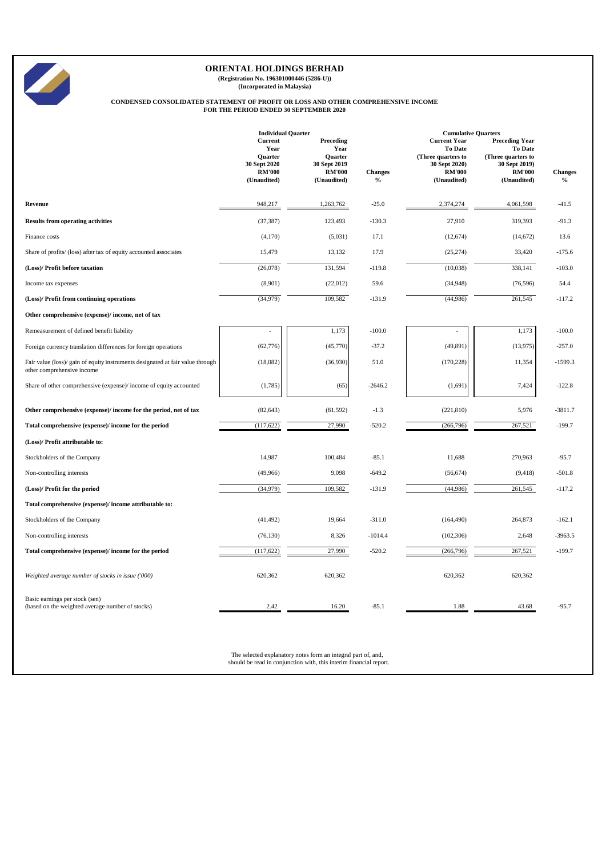

**(Registration No. 196301000446 (5286-U)) (Incorporated in Malaysia)**

# **CONDENSED CONSOLIDATED STATEMENT OF PROFIT OR LOSS AND OTHER COMPREHENSIVE INCOME FOR THE PERIOD ENDED 30 SEPTEMBER 2020**

|                                                                                                              |                                                                                   | <b>Individual Quarter</b>                                                    |                                 |                                                                                                                                            |                                                                                                         |                 |
|--------------------------------------------------------------------------------------------------------------|-----------------------------------------------------------------------------------|------------------------------------------------------------------------------|---------------------------------|--------------------------------------------------------------------------------------------------------------------------------------------|---------------------------------------------------------------------------------------------------------|-----------------|
|                                                                                                              | Current<br>Year<br><b>Ouarter</b><br>30 Sept 2020<br><b>RM'000</b><br>(Unaudited) | Preceding<br>Year<br>Quarter<br>30 Sept 2019<br><b>RM'000</b><br>(Unaudited) | <b>Changes</b><br>$\frac{0}{0}$ | <b>Cumulative Quarters</b><br><b>Current Year</b><br><b>To Date</b><br>(Three quarters to<br>30 Sept 2020)<br><b>RM'000</b><br>(Unaudited) | <b>Preceding Year</b><br>To Date<br>(Three quarters to<br>30 Sept 2019)<br><b>RM'000</b><br>(Unaudited) | Changes<br>$\%$ |
| Revenue                                                                                                      | 948,217                                                                           | 1,263,762                                                                    | $-25.0$                         | 2,374,274                                                                                                                                  | 4,061,598                                                                                               | $-41.5$         |
| <b>Results from operating activities</b>                                                                     | (37, 387)                                                                         | 123,493                                                                      | $-130.3$                        | 27,910                                                                                                                                     | 319,393                                                                                                 | $-91.3$         |
| Finance costs                                                                                                | (4,170)                                                                           | (5,031)                                                                      | 17.1                            | (12, 674)                                                                                                                                  | (14, 672)                                                                                               | 13.6            |
| Share of profits/ (loss) after tax of equity accounted associates                                            | 15,479                                                                            | 13,132                                                                       | 17.9                            | (25, 274)                                                                                                                                  | 33,420                                                                                                  | $-175.6$        |
| (Loss)/ Profit before taxation                                                                               | (26,078)                                                                          | 131,594                                                                      | $-119.8$                        | (10,038)                                                                                                                                   | 338,141                                                                                                 | $-103.0$        |
| Income tax expenses                                                                                          | (8,901)                                                                           | (22,012)                                                                     | 59.6                            | (34,948)                                                                                                                                   | (76, 596)                                                                                               | 54.4            |
| (Loss)/ Profit from continuing operations                                                                    | (34,979)                                                                          | 109,582                                                                      | $-131.9$                        | (44,986)                                                                                                                                   | 261,545                                                                                                 | $-117.2$        |
| Other comprehensive (expense)/ income, net of tax                                                            |                                                                                   |                                                                              |                                 |                                                                                                                                            |                                                                                                         |                 |
| Remeasurement of defined benefit liability                                                                   |                                                                                   | 1,173                                                                        | $-100.0$                        |                                                                                                                                            | 1,173                                                                                                   | $-100.0$        |
| Foreign currency translation differences for foreign operations                                              | (62, 776)                                                                         | (45,770)                                                                     | $-37.2$                         | (49, 891)                                                                                                                                  | (13,975)                                                                                                | $-257.0$        |
| Fair value (loss)/ gain of equity instruments designated at fair value through<br>other comprehensive income | (18,082)                                                                          | (36,930)                                                                     | 51.0                            | (170, 228)                                                                                                                                 | 11,354                                                                                                  | $-1599.3$       |
| Share of other comprehensive (expense)/ income of equity accounted                                           | (1,785)                                                                           | (65)                                                                         | $-2646.2$                       | (1,691)                                                                                                                                    | 7,424                                                                                                   | $-122.8$        |
| Other comprehensive (expense)/ income for the period, net of tax                                             | (82, 643)                                                                         | (81, 592)                                                                    | $-1.3$                          | (221, 810)                                                                                                                                 | 5,976                                                                                                   | $-3811.7$       |
| Total comprehensive (expense)/ income for the period                                                         | (117, 622)                                                                        | 27,990                                                                       | $-520.2$                        | (266, 796)                                                                                                                                 | 267,521                                                                                                 | $-199.7$        |
| (Loss)/ Profit attributable to:                                                                              |                                                                                   |                                                                              |                                 |                                                                                                                                            |                                                                                                         |                 |
| Stockholders of the Company                                                                                  | 14,987                                                                            | 100,484                                                                      | $-85.1$                         | 11,688                                                                                                                                     | 270,963                                                                                                 | $-95.7$         |
| Non-controlling interests                                                                                    | (49,966)                                                                          | 9,098                                                                        | $-649.2$                        | (56, 674)                                                                                                                                  | (9, 418)                                                                                                | $-501.8$        |
| (Loss)/ Profit for the period                                                                                | (34,979)                                                                          | 109,582                                                                      | $-131.9$                        | (44,986)                                                                                                                                   | 261,545                                                                                                 | $-117.2$        |
| Total comprehensive (expense)/ income attributable to:                                                       |                                                                                   |                                                                              |                                 |                                                                                                                                            |                                                                                                         |                 |
| Stockholders of the Company                                                                                  | (41, 492)                                                                         | 19,664                                                                       | $-311.0$                        | (164, 490)                                                                                                                                 | 264,873                                                                                                 | $-162.1$        |
| Non-controlling interests                                                                                    | (76, 130)                                                                         | 8,326                                                                        | $-1014.4$                       | (102, 306)                                                                                                                                 | 2,648                                                                                                   | $-3963.5$       |
| Total comprehensive (expense)/ income for the period                                                         | (117, 622)                                                                        | 27,990                                                                       | $-520.2$                        | (266, 796)                                                                                                                                 | 267,521                                                                                                 | $-199.7$        |
| Weighted average number of stocks in issue ('000)                                                            | 620,362                                                                           | 620,362                                                                      |                                 | 620,362                                                                                                                                    | 620,362                                                                                                 |                 |
| Basic earnings per stock (sen)<br>(based on the weighted average number of stocks)                           | 2.42                                                                              | 16.20                                                                        | $-85.1$                         | 1.88                                                                                                                                       | 43.68                                                                                                   | $-95.7$         |

The selected explanatory notes form an integral part of, and, should be read in conjunction with, this interim financial report.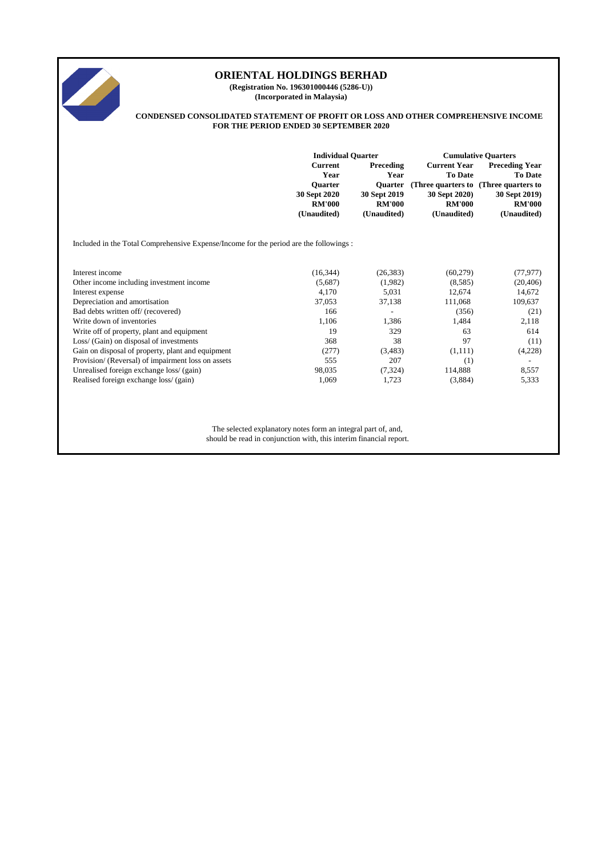

**(Registration No. 196301000446 (5286-U)) (Incorporated in Malaysia)**

#### **CONDENSED CONSOLIDATED STATEMENT OF PROFIT OR LOSS AND OTHER COMPREHENSIVE INCOME FOR THE PERIOD ENDED 30 SEPTEMBER 2020**

|                                                                                        | <b>Individual Quarter</b>                                                                |                                                                                            | <b>Cumulative Quarters</b>                                                             |                                                                                                                                    |  |
|----------------------------------------------------------------------------------------|------------------------------------------------------------------------------------------|--------------------------------------------------------------------------------------------|----------------------------------------------------------------------------------------|------------------------------------------------------------------------------------------------------------------------------------|--|
|                                                                                        | <b>Current</b><br>Year<br><b>Ouarter</b><br>30 Sept 2020<br><b>RM'000</b><br>(Unaudited) | <b>Preceding</b><br>Year<br><b>Ouarter</b><br>30 Sept 2019<br><b>RM'000</b><br>(Unaudited) | <b>Current Year</b><br><b>To Date</b><br>30 Sept 2020)<br><b>RM'000</b><br>(Unaudited) | <b>Preceding Year</b><br><b>To Date</b><br>(Three quarters to (Three quarters to)<br>30 Sept 2019)<br><b>RM'000</b><br>(Unaudited) |  |
| Included in the Total Comprehensive Expense/Income for the period are the followings : |                                                                                          |                                                                                            |                                                                                        |                                                                                                                                    |  |
| Interest income                                                                        | (16, 344)                                                                                | (26, 383)                                                                                  | (60, 279)                                                                              | (77, 977)                                                                                                                          |  |
| Other income including investment income                                               | (5,687)                                                                                  | (1,982)                                                                                    | (8,585)                                                                                | (20, 406)                                                                                                                          |  |
| Interest expense                                                                       | 4,170                                                                                    | 5,031                                                                                      | 12,674                                                                                 | 14,672                                                                                                                             |  |
| Depreciation and amortisation                                                          | 37,053                                                                                   | 37,138                                                                                     | 111,068                                                                                | 109,637                                                                                                                            |  |
| Bad debts written off/ (recovered)                                                     | 166                                                                                      | $\qquad \qquad -$                                                                          | (356)                                                                                  | (21)                                                                                                                               |  |
| Write down of inventories                                                              | 1,106                                                                                    | 1,386                                                                                      | 1,484                                                                                  | 2,118                                                                                                                              |  |
| Write off of property, plant and equipment                                             | 19                                                                                       | 329                                                                                        | 63                                                                                     | 614                                                                                                                                |  |
| Loss/ (Gain) on disposal of investments                                                | 368                                                                                      | 38                                                                                         | 97                                                                                     | (11)                                                                                                                               |  |
| Gain on disposal of property, plant and equipment                                      | (277)                                                                                    | (3,483)                                                                                    | (1,111)                                                                                | (4,228)                                                                                                                            |  |
| Provision/ (Reversal) of impairment loss on assets                                     | 555                                                                                      | 207                                                                                        | (1)                                                                                    | $\overline{\phantom{0}}$                                                                                                           |  |
| Unrealised foreign exchange loss/ (gain)                                               | 98,035                                                                                   | (7, 324)                                                                                   | 114,888                                                                                | 8,557                                                                                                                              |  |
| Realised foreign exchange loss/ (gain)                                                 | 1,069                                                                                    | 1,723                                                                                      | (3,884)                                                                                | 5,333                                                                                                                              |  |

The selected explanatory notes form an integral part of, and, should be read in conjunction with, this interim financial report.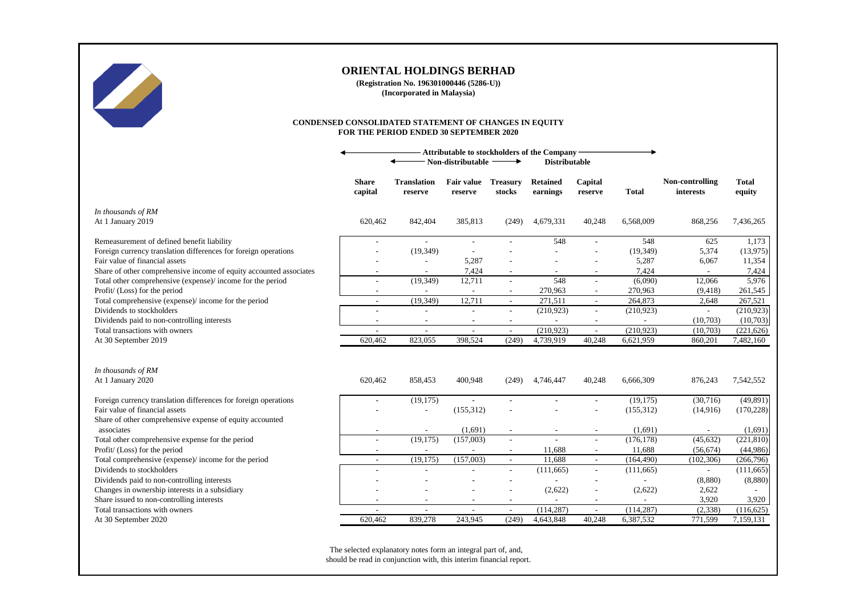

**(Registration No. 196301000446 (5286-U)) (Incorporated in Malaysia)**

#### **CONDENSED CONSOLIDATED STATEMENT OF CHANGES IN EQUITY FOR THE PERIOD ENDED 30 SEPTEMBER 2020**

|                                                                    | Attributable to stockholders of the Company<br>Non-distributable<br><b>Distributable</b><br>→ |                               |                                     |                           |                             |                                    |              |                              |                         |
|--------------------------------------------------------------------|-----------------------------------------------------------------------------------------------|-------------------------------|-------------------------------------|---------------------------|-----------------------------|------------------------------------|--------------|------------------------------|-------------------------|
|                                                                    | <b>Share</b><br>capital                                                                       | <b>Translation</b><br>reserve | <b>Fair value</b><br>reserve        | <b>Treasury</b><br>stocks | <b>Retained</b><br>earnings | Capital<br>reserve                 | <b>Total</b> | Non-controlling<br>interests | <b>Total</b><br>equity  |
| In thousands of RM<br>At 1 January 2019                            | 620,462                                                                                       | 842,404                       | 385,813                             | (249)                     | 4,679,331                   | 40,248                             | 6,568,009    | 868,256                      | 7,436,265               |
| Remeasurement of defined benefit liability                         |                                                                                               | $\sim$                        | $\overline{a}$                      |                           | 548                         | L.                                 | 548          | 625                          | 1,173                   |
| Foreign currency translation differences for foreign operations    |                                                                                               | (19, 349)                     |                                     |                           |                             |                                    | (19, 349)    | 5,374                        | (13, 975)               |
| Fair value of financial assets                                     |                                                                                               |                               | 5,287                               |                           |                             |                                    | 5,287        | 6,067                        | 11,354                  |
| Share of other comprehensive income of equity accounted associates |                                                                                               | $\sim$                        | 7,424                               | $\sim$                    |                             | $\overline{a}$                     | 7,424        |                              | 7,424                   |
| Total other comprehensive (expense)/ income for the period         | $\overline{a}$                                                                                | (19, 349)                     | 12,711                              | $\sim$                    | 548                         | $\sim$                             | (6,090)      | 12,066                       | 5,976                   |
| Profit/ (Loss) for the period                                      | $\overline{\phantom{a}}$                                                                      | ٠                             | $\overline{\phantom{a}}$            | $\sim$                    | 270,963                     | $\overline{\phantom{a}}$           | 270,963      | (9, 418)                     | 261,545                 |
| Total comprehensive (expense)/ income for the period               | $\overline{a}$                                                                                | (19, 349)                     | 12,711                              | $\sim$                    | 271.511                     | $\overline{\phantom{a}}$           | 264,873      | 2,648                        | 267,521                 |
| Dividends to stockholders                                          |                                                                                               | $\sim$                        | $\overline{a}$                      | $\sim$                    | (210,923)                   | $\overline{a}$                     | (210,923)    | ÷.                           | (210, 923)              |
| Dividends paid to non-controlling interests                        | $\overline{\phantom{0}}$                                                                      | $\sim$                        | $\overline{\phantom{a}}$            | $\sim$                    | $\overline{\phantom{a}}$    | $\overline{\phantom{a}}$           | $\sim$       | (10,703)                     | (10,703)                |
| Total transactions with owners                                     | $\overline{a}$<br>620,462                                                                     | $\sim$<br>823,055             | $\overline{\phantom{a}}$<br>398,524 | $\sim$<br>(249)           | (210, 923)<br>4,739,919     | $\overline{\phantom{a}}$<br>40,248 | (210, 923)   | (10,703)<br>860,201          | (221, 626)<br>7,482,160 |
| At 30 September 2019                                               |                                                                                               |                               |                                     |                           |                             |                                    | 6,621,959    |                              |                         |
| In thousands of RM                                                 |                                                                                               |                               |                                     |                           |                             |                                    |              |                              |                         |
| At 1 January 2020                                                  | 620,462                                                                                       | 858,453                       | 400,948                             | (249)                     | 4,746,447                   | 40,248                             | 6,666,309    | 876,243                      | 7,542,552               |
| Foreign currency translation differences for foreign operations    |                                                                                               | (19, 175)                     |                                     |                           |                             |                                    | (19, 175)    | (30,716)                     | (49, 891)               |
| Fair value of financial assets                                     |                                                                                               |                               | (155, 312)                          |                           |                             |                                    | (155, 312)   | (14,916)                     | (170, 228)              |
| Share of other comprehensive expense of equity accounted           |                                                                                               |                               |                                     |                           |                             |                                    |              |                              |                         |
| associates                                                         |                                                                                               |                               | (1,691)                             |                           |                             |                                    | (1,691)      |                              | (1,691)                 |
| Total other comprehensive expense for the period                   | $\overline{a}$                                                                                | (19, 175)                     | (157,003)                           | $\sim$                    |                             | ÷,                                 | (176, 178)   | (45, 632)                    | (221, 810)              |
| Profit/ (Loss) for the period                                      |                                                                                               |                               |                                     | $\sim$                    | 11,688                      | $\sim$                             | 11,688       | (56, 674)                    | (44,986)                |
| Total comprehensive (expense)/income for the period                | $\overline{\phantom{a}}$                                                                      | (19, 175)                     | (157,003)                           | $\sim$                    | 11,688                      | $\sim$                             | (164, 490)   | (102, 306)                   | (266,796)               |
| Dividends to stockholders                                          |                                                                                               |                               |                                     | $\overline{\phantom{a}}$  | (111,665)                   | $\sim$                             | (111, 665)   | $\sim$                       | (111, 665)              |
| Dividends paid to non-controlling interests                        |                                                                                               |                               |                                     |                           |                             |                                    |              | (8,880)                      | (8,880)                 |
| Changes in ownership interests in a subsidiary                     |                                                                                               |                               |                                     |                           | (2,622)                     | L,                                 | (2,622)      | 2,622                        |                         |
| Share issued to non-controlling interests                          | $\overline{\phantom{a}}$                                                                      | $\overline{\phantom{a}}$      | $\overline{\phantom{a}}$            | $\sim$                    | $\overline{\phantom{a}}$    | $\overline{\phantom{a}}$           | $\sim$       | 3,920                        | 3,920                   |
| Total transactions with owners                                     | $\overline{a}$                                                                                | $\sim$                        | $\overline{\phantom{a}}$            | $\sim$                    | (114, 287)                  | $\sim$                             | (114, 287)   | (2, 338)                     | (116, 625)              |
| At 30 September 2020                                               | 620,462                                                                                       | 839,278                       | 243,945                             | (249)                     | 4,643,848                   | 40,248                             | 6,387,532    | 771,599                      | 7,159,131               |

The selected explanatory notes form an integral part of, and, should be read in conjunction with, this interim financial report.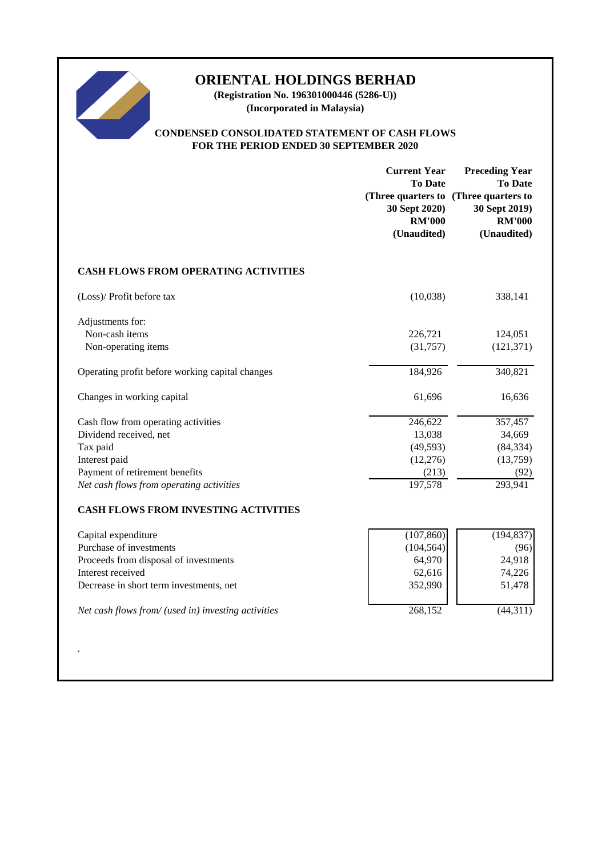

**(Registration No. 196301000446 (5286-U)) (Incorporated in Malaysia)**

# **CONDENSED CONSOLIDATED STATEMENT OF CASH FLOWS FOR THE PERIOD ENDED 30 SEPTEMBER 2020**

|                                                     | <b>Current Year</b><br><b>To Date</b><br>30 Sept 2020)<br><b>RM'000</b><br>(Unaudited) | <b>Preceding Year</b><br><b>To Date</b><br>(Three quarters to (Three quarters to<br>30 Sept 2019)<br><b>RM'000</b><br>(Unaudited) |
|-----------------------------------------------------|----------------------------------------------------------------------------------------|-----------------------------------------------------------------------------------------------------------------------------------|
| <b>CASH FLOWS FROM OPERATING ACTIVITIES</b>         |                                                                                        |                                                                                                                                   |
| (Loss)/ Profit before tax                           | (10,038)                                                                               | 338,141                                                                                                                           |
| Adjustments for:<br>Non-cash items                  | 226,721                                                                                | 124,051                                                                                                                           |
| Non-operating items                                 | (31,757)                                                                               | (121, 371)                                                                                                                        |
| Operating profit before working capital changes     | 184,926                                                                                | 340,821                                                                                                                           |
| Changes in working capital                          | 61,696                                                                                 | 16,636                                                                                                                            |
| Cash flow from operating activities                 | 246,622                                                                                | 357,457                                                                                                                           |
| Dividend received, net                              | 13,038                                                                                 | 34,669                                                                                                                            |
| Tax paid                                            | (49, 593)                                                                              | (84, 334)                                                                                                                         |
| Interest paid                                       | (12,276)                                                                               | (13,759)                                                                                                                          |
| Payment of retirement benefits                      | (213)                                                                                  | (92)                                                                                                                              |
| Net cash flows from operating activities            | 197,578                                                                                | 293,941                                                                                                                           |
| CASH FLOWS FROM INVESTING ACTIVITIES                |                                                                                        |                                                                                                                                   |
| Capital expenditure                                 | (107, 860)                                                                             | (194, 837)                                                                                                                        |
| Purchase of investments                             | (104, 564)                                                                             | (96)                                                                                                                              |
| Proceeds from disposal of investments               | 64,970                                                                                 | 24,918                                                                                                                            |
| Interest received                                   | 62,616                                                                                 | 74,226                                                                                                                            |
| Decrease in short term investments, net             | 352,990                                                                                | 51,478                                                                                                                            |
| Net cash flows from/ (used in) investing activities | 268,152                                                                                | (44, 311)                                                                                                                         |
|                                                     |                                                                                        |                                                                                                                                   |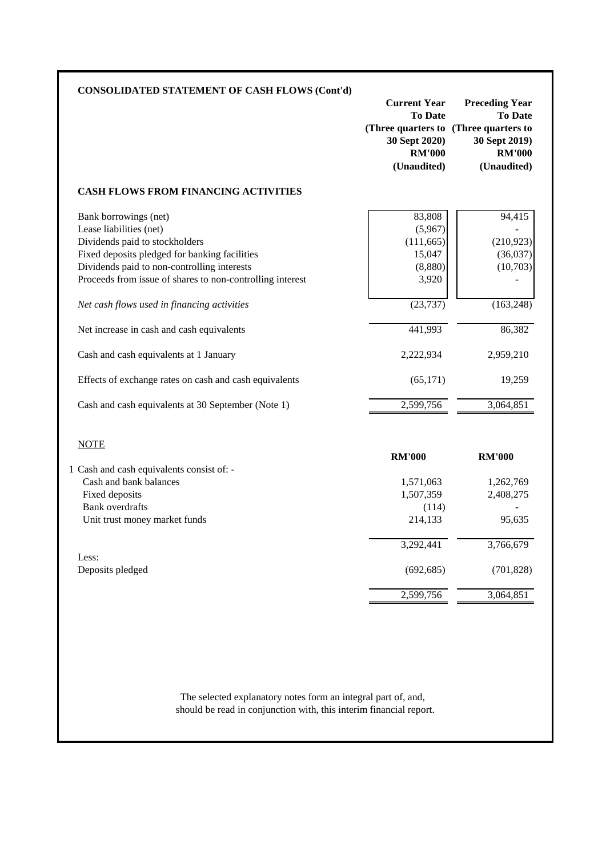|                                                                                                                                     | <b>Current Year</b><br><b>To Date</b><br>(Three quarters to (Three quarters to<br>30 Sept 2020)<br><b>RM'000</b><br>(Unaudited) | <b>Preceding Year</b><br><b>To Date</b><br>30 Sept 2019)<br><b>RM'000</b><br>(Unaudited) |
|-------------------------------------------------------------------------------------------------------------------------------------|---------------------------------------------------------------------------------------------------------------------------------|------------------------------------------------------------------------------------------|
| <b>CASH FLOWS FROM FINANCING ACTIVITIES</b>                                                                                         |                                                                                                                                 |                                                                                          |
| Bank borrowings (net)<br>Lease liabilities (net)<br>Dividends paid to stockholders<br>Fixed deposits pledged for banking facilities | 83,808<br>(5,967)<br>(111, 665)<br>15,047                                                                                       | 94,415<br>(210, 923)<br>(36,037)                                                         |
| Dividends paid to non-controlling interests<br>Proceeds from issue of shares to non-controlling interest                            | (8,880)<br>3,920                                                                                                                | (10,703)                                                                                 |
| Net cash flows used in financing activities                                                                                         | (23, 737)                                                                                                                       | (163, 248)                                                                               |
| Net increase in cash and cash equivalents                                                                                           | 441,993                                                                                                                         | 86,382                                                                                   |
| Cash and cash equivalents at 1 January                                                                                              | 2,222,934                                                                                                                       | 2,959,210                                                                                |
| Effects of exchange rates on cash and cash equivalents                                                                              | (65, 171)                                                                                                                       | 19,259                                                                                   |
| Cash and cash equivalents at 30 September (Note 1)                                                                                  | 2,599,756                                                                                                                       | 3,064,851                                                                                |
|                                                                                                                                     |                                                                                                                                 |                                                                                          |
| <b>NOTE</b>                                                                                                                         |                                                                                                                                 |                                                                                          |
|                                                                                                                                     | <b>RM'000</b>                                                                                                                   | <b>RM'000</b>                                                                            |
| Cash and bank balances                                                                                                              | 1,571,063                                                                                                                       |                                                                                          |
| Fixed deposits                                                                                                                      | 1,507,359                                                                                                                       | 1,262,769<br>2,408,275                                                                   |
| <b>Bank</b> overdrafts<br>Unit trust money market funds                                                                             | (114)<br>214,133                                                                                                                | 95,635                                                                                   |
|                                                                                                                                     | 3,292,441                                                                                                                       | 3,766,679                                                                                |
| 1 Cash and cash equivalents consist of: -<br>Less:<br>Deposits pledged                                                              | (692, 685)                                                                                                                      | (701, 828)                                                                               |

should be read in conjunction with, this interim financial report. The selected explanatory notes form an integral part of, and,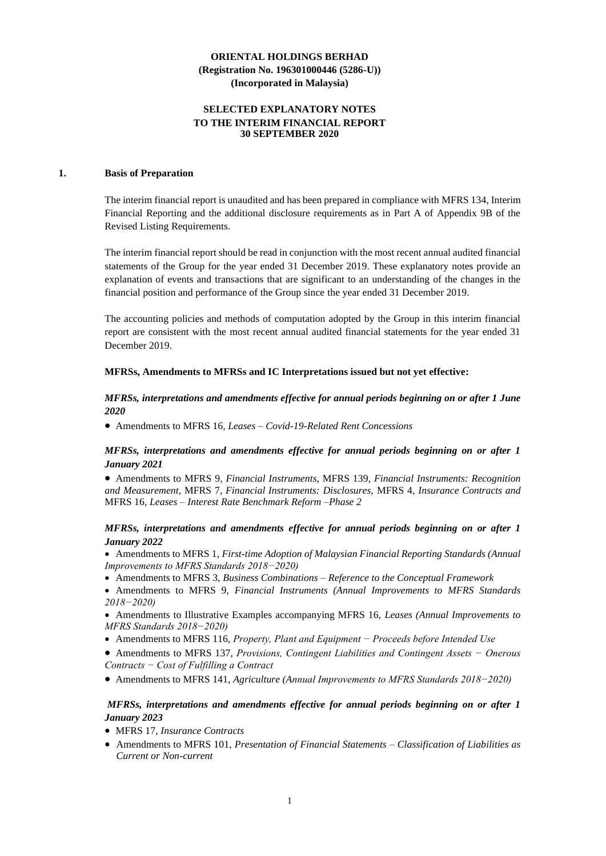# **SELECTED EXPLANATORY NOTES TO THE INTERIM FINANCIAL REPORT 30 SEPTEMBER 2020**

### **1. Basis of Preparation**

The interim financial report is unaudited and has been prepared in compliance with MFRS 134, Interim Financial Reporting and the additional disclosure requirements as in Part A of Appendix 9B of the Revised Listing Requirements.

The interim financial report should be read in conjunction with the most recent annual audited financial statements of the Group for the year ended 31 December 2019. These explanatory notes provide an explanation of events and transactions that are significant to an understanding of the changes in the financial position and performance of the Group since the year ended 31 December 2019.

The accounting policies and methods of computation adopted by the Group in this interim financial report are consistent with the most recent annual audited financial statements for the year ended 31 December 2019.

#### **MFRSs, Amendments to MFRSs and IC Interpretations issued but not yet effective:**

# *MFRSs, interpretations and amendments effective for annual periods beginning on or after 1 June 2020*

• Amendments to MFRS 16*, Leases – Covid-19-Related Rent Concessions*

*MFRSs, interpretations and amendments effective for annual periods beginning on or after 1 January 2021*

• Amendments to MFRS 9*, Financial Instruments,* MFRS 139*, Financial Instruments: Recognition and Measurement,* MFRS 7*, Financial Instruments: Disclosures,* MFRS 4*, Insurance Contracts and*  MFRS 16*, Leases – Interest Rate Benchmark Reform –Phase 2*

# *MFRSs, interpretations and amendments effective for annual periods beginning on or after 1 January 2022*

- Amendments to MFRS 1, *First-time Adoption of Malaysian Financial Reporting Standards (Annual Improvements to MFRS Standards 2018−2020)*
- Amendments to MFRS 3, *Business Combinations – Reference to the Conceptual Framework*
- Amendments to MFRS 9, *Financial Instruments (Annual Improvements to MFRS Standards 2018−2020)*
- Amendments to Illustrative Examples accompanying MFRS 16, *Leases (Annual Improvements to MFRS Standards 2018−2020)*
- Amendments to MFRS 116, *Property, Plant and Equipment − Proceeds before Intended Use*
- Amendments to MFRS 137, *Provisions, Contingent Liabilities and Contingent Assets − Onerous Contracts − Cost of Fulfilling a Contract*
- Amendments to MFRS 141, *Agriculture (Annual Improvements to MFRS Standards 2018−2020)*

# *MFRSs, interpretations and amendments effective for annual periods beginning on or after 1 January 2023*

- MFRS 17, *Insurance Contracts*
- Amendments to MFRS 101, *Presentation of Financial Statements – Classification of Liabilities as Current or Non-current*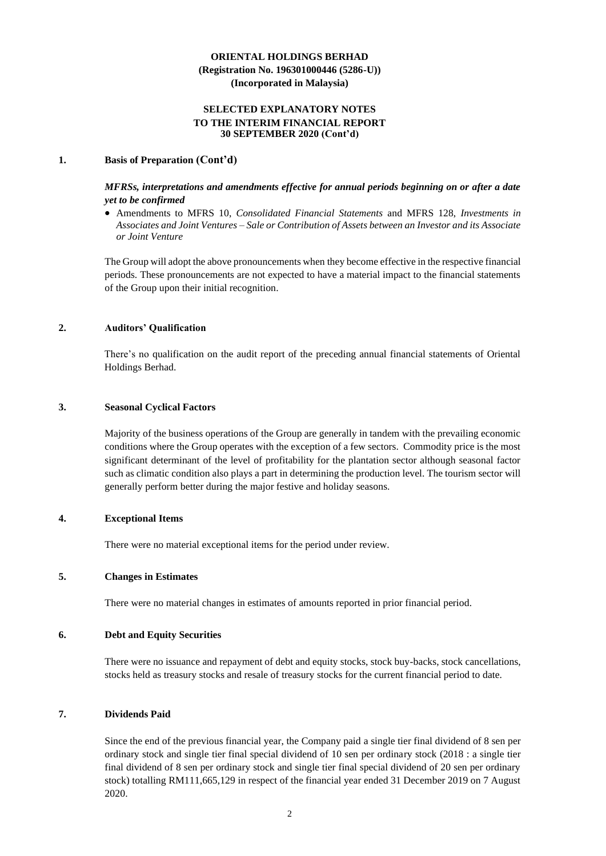## **SELECTED EXPLANATORY NOTES TO THE INTERIM FINANCIAL REPORT 30 SEPTEMBER 2020 (Cont'd)**

### **1. Basis of Preparation (Cont'd)**

*MFRSs, interpretations and amendments effective for annual periods beginning on or after a date yet to be confirmed*

• Amendments to MFRS 10, *Consolidated Financial Statements* and MFRS 128, *Investments in Associates and Joint Ventures – Sale or Contribution of Assets between an Investor and its Associate or Joint Venture*

The Group will adopt the above pronouncements when they become effective in the respective financial periods. These pronouncements are not expected to have a material impact to the financial statements of the Group upon their initial recognition.

### **2. Auditors' Qualification**

There's no qualification on the audit report of the preceding annual financial statements of Oriental Holdings Berhad.

### **3. Seasonal Cyclical Factors**

Majority of the business operations of the Group are generally in tandem with the prevailing economic conditions where the Group operates with the exception of a few sectors. Commodity price is the most significant determinant of the level of profitability for the plantation sector although seasonal factor such as climatic condition also plays a part in determining the production level. The tourism sector will generally perform better during the major festive and holiday seasons.

# **4. Exceptional Items**

There were no material exceptional items for the period under review.

### **5. Changes in Estimates**

There were no material changes in estimates of amounts reported in prior financial period.

#### **6. Debt and Equity Securities**

There were no issuance and repayment of debt and equity stocks, stock buy-backs, stock cancellations, stocks held as treasury stocks and resale of treasury stocks for the current financial period to date.

### **7. Dividends Paid**

Since the end of the previous financial year, the Company paid a single tier final dividend of 8 sen per ordinary stock and single tier final special dividend of 10 sen per ordinary stock (2018 : a single tier final dividend of 8 sen per ordinary stock and single tier final special dividend of 20 sen per ordinary stock) totalling RM111,665,129 in respect of the financial year ended 31 December 2019 on 7 August 2020.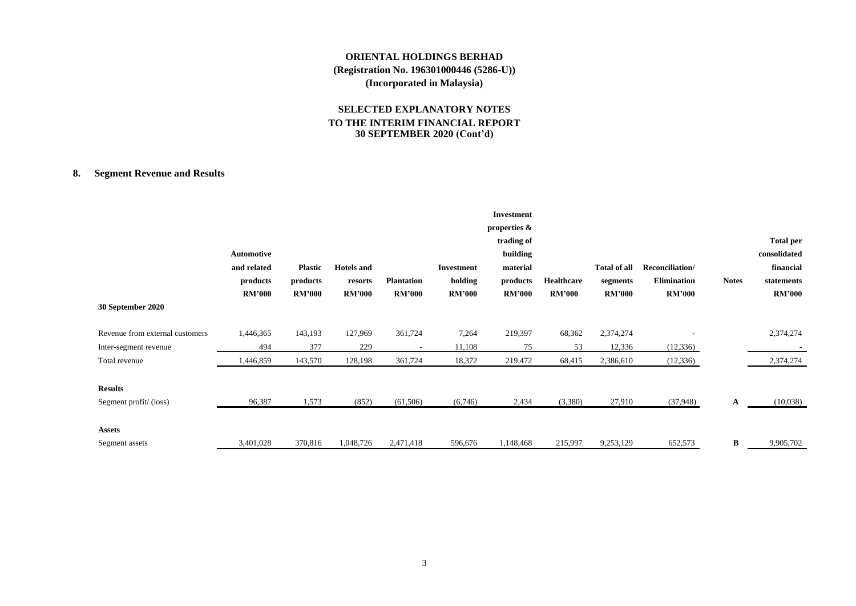# **SELECTED EXPLANATORY NOTES TO THE INTERIM FINANCIAL REPORT 30 SEPTEMBER 2020 (Cont'd)**

# **8. Segment Revenue and Results**

| 30 September 2020               | Automotive<br>and related<br>products<br><b>RM'000</b> | <b>Plastic</b><br>products<br><b>RM'000</b> | <b>Hotels</b> and<br>resorts<br><b>RM'000</b> | <b>Plantation</b><br><b>RM'000</b> | <b>Investment</b><br>holding<br><b>RM'000</b> | <b>Investment</b><br>properties &<br>trading of<br>building<br>material<br>products<br><b>RM'000</b> | Healthcare<br><b>RM'000</b> | Total of all<br>segments<br><b>RM'000</b> | Reconciliation/<br><b>Elimination</b><br><b>RM'000</b> | <b>Notes</b> | <b>Total per</b><br>consolidated<br>financial<br>statements<br><b>RM'000</b> |
|---------------------------------|--------------------------------------------------------|---------------------------------------------|-----------------------------------------------|------------------------------------|-----------------------------------------------|------------------------------------------------------------------------------------------------------|-----------------------------|-------------------------------------------|--------------------------------------------------------|--------------|------------------------------------------------------------------------------|
| Revenue from external customers | 1,446,365                                              | 143,193                                     | 127,969                                       | 361,724                            | 7,264                                         | 219,397                                                                                              | 68,362                      | 2,374,274                                 |                                                        |              | 2,374,274                                                                    |
| Inter-segment revenue           | 494                                                    | 377                                         | 229                                           | $\overline{\phantom{a}}$           | 11,108                                        | 75                                                                                                   | 53                          | 12,336                                    | (12, 336)                                              |              |                                                                              |
| Total revenue                   | 1,446,859                                              | 143,570                                     | 128,198                                       | 361,724                            | 18,372                                        | 219,472                                                                                              | 68,415                      | 2,386,610                                 | (12, 336)                                              |              | 2,374,274                                                                    |
| <b>Results</b>                  |                                                        |                                             |                                               |                                    |                                               |                                                                                                      |                             |                                           |                                                        |              |                                                                              |
| Segment profit/(loss)           | 96,387                                                 | 1,573                                       | (852)                                         | (61,506)                           | (6,746)                                       | 2,434                                                                                                | (3,380)                     | 27,910                                    | (37,948)                                               | A            | (10,038)                                                                     |
| <b>Assets</b>                   |                                                        |                                             |                                               |                                    |                                               |                                                                                                      |                             |                                           |                                                        |              |                                                                              |
| Segment assets                  | 3,401,028                                              | 370,816                                     | 1,048,726                                     | 2,471,418                          | 596,676                                       | 1,148,468                                                                                            | 215,997                     | 9,253,129                                 | 652,573                                                | $\bf{B}$     | 9,905,702                                                                    |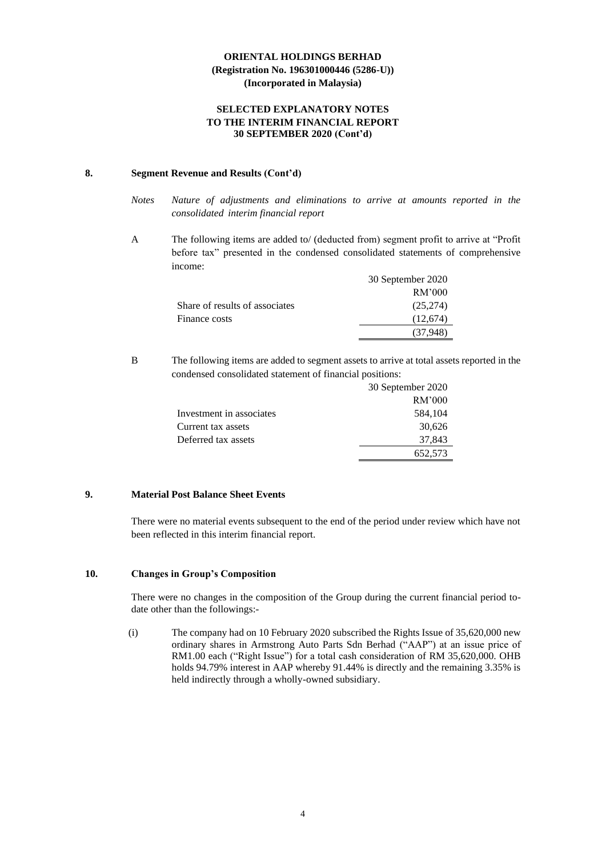### **SELECTED EXPLANATORY NOTES TO THE INTERIM FINANCIAL REPORT 30 SEPTEMBER 2020 (Cont'd)**

# **8. Segment Revenue and Results (Cont'd)**

- *Notes Nature of adjustments and eliminations to arrive at amounts reported in the consolidated interim financial report*
- A The following items are added to/ (deducted from) segment profit to arrive at "Profit before tax" presented in the condensed consolidated statements of comprehensive income:

|                                | 30 September 2020 |
|--------------------------------|-------------------|
|                                | RM'000            |
| Share of results of associates | (25,274)          |
| Finance costs                  | (12.674)          |
|                                | (37.948)          |

B The following items are added to segment assets to arrive at total assets reported in the condensed consolidated statement of financial positions:

|                          | 30 September 2020 |
|--------------------------|-------------------|
|                          | RM'000            |
| Investment in associates | 584,104           |
| Current tax assets       | 30,626            |
| Deferred tax assets      | 37,843            |
|                          | 652,573           |

# **9. Material Post Balance Sheet Events**

There were no material events subsequent to the end of the period under review which have not been reflected in this interim financial report.

# **10. Changes in Group's Composition**

There were no changes in the composition of the Group during the current financial period todate other than the followings:-

(i) The company had on 10 February 2020 subscribed the Rights Issue of 35,620,000 new ordinary shares in Armstrong Auto Parts Sdn Berhad ("AAP") at an issue price of RM1.00 each ("Right Issue") for a total cash consideration of RM 35,620,000. OHB holds 94.79% interest in AAP whereby 91.44% is directly and the remaining 3.35% is held indirectly through a wholly-owned subsidiary.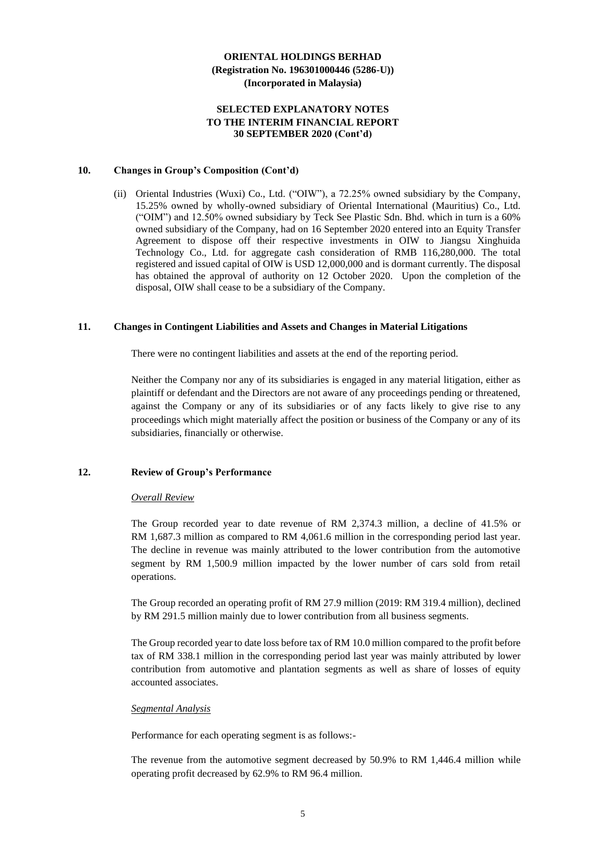### **SELECTED EXPLANATORY NOTES TO THE INTERIM FINANCIAL REPORT 30 SEPTEMBER 2020 (Cont'd)**

#### **10. Changes in Group's Composition (Cont'd)**

(ii) Oriental Industries (Wuxi) Co., Ltd. ("OIW"), a 72.25% owned subsidiary by the Company, 15.25% owned by wholly-owned subsidiary of Oriental International (Mauritius) Co., Ltd. ("OIM") and 12.50% owned subsidiary by Teck See Plastic Sdn. Bhd. which in turn is a 60% owned subsidiary of the Company, had on 16 September 2020 entered into an Equity Transfer Agreement to dispose off their respective investments in OIW to Jiangsu Xinghuida Technology Co., Ltd. for aggregate cash consideration of RMB 116,280,000. The total registered and issued capital of OIW is USD 12,000,000 and is dormant currently. The disposal has obtained the approval of authority on 12 October 2020. Upon the completion of the disposal, OIW shall cease to be a subsidiary of the Company.

#### **11. Changes in Contingent Liabilities and Assets and Changes in Material Litigations**

There were no contingent liabilities and assets at the end of the reporting period.

Neither the Company nor any of its subsidiaries is engaged in any material litigation, either as plaintiff or defendant and the Directors are not aware of any proceedings pending or threatened, against the Company or any of its subsidiaries or of any facts likely to give rise to any proceedings which might materially affect the position or business of the Company or any of its subsidiaries, financially or otherwise.

# **12. Review of Group's Performance**

#### *Overall Review*

The Group recorded year to date revenue of RM 2,374.3 million, a decline of 41.5% or RM 1,687.3 million as compared to RM 4,061.6 million in the corresponding period last year. The decline in revenue was mainly attributed to the lower contribution from the automotive segment by RM 1,500.9 million impacted by the lower number of cars sold from retail operations.

The Group recorded an operating profit of RM 27.9 million (2019: RM 319.4 million), declined by RM 291.5 million mainly due to lower contribution from all business segments.

The Group recorded year to date loss before tax of RM 10.0 million compared to the profit before tax of RM 338.1 million in the corresponding period last year was mainly attributed by lower contribution from automotive and plantation segments as well as share of losses of equity accounted associates.

#### *Segmental Analysis*

Performance for each operating segment is as follows:-

The revenue from the automotive segment decreased by 50.9% to RM 1,446.4 million while operating profit decreased by 62.9% to RM 96.4 million.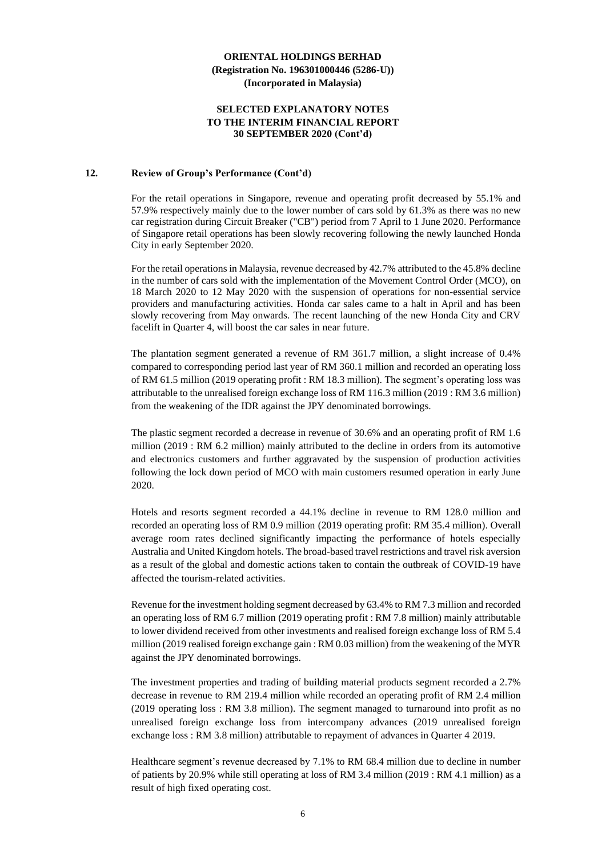### **SELECTED EXPLANATORY NOTES TO THE INTERIM FINANCIAL REPORT 30 SEPTEMBER 2020 (Cont'd)**

#### **12. Review of Group's Performance (Cont'd)**

For the retail operations in Singapore, revenue and operating profit decreased by 55.1% and 57.9% respectively mainly due to the lower number of cars sold by 61.3% as there was no new car registration during Circuit Breaker ("CB") period from 7 April to 1 June 2020. Performance of Singapore retail operations has been slowly recovering following the newly launched Honda City in early September 2020.

For the retail operations in Malaysia, revenue decreased by 42.7% attributed to the 45.8% decline in the number of cars sold with the implementation of the Movement Control Order (MCO), on 18 March 2020 to 12 May 2020 with the suspension of operations for non-essential service providers and manufacturing activities. Honda car sales came to a halt in April and has been slowly recovering from May onwards. The recent launching of the new Honda City and CRV facelift in Quarter 4, will boost the car sales in near future.

The plantation segment generated a revenue of RM 361.7 million, a slight increase of 0.4% compared to corresponding period last year of RM 360.1 million and recorded an operating loss of RM 61.5 million (2019 operating profit : RM 18.3 million). The segment's operating loss was attributable to the unrealised foreign exchange loss of RM 116.3 million (2019 : RM 3.6 million) from the weakening of the IDR against the JPY denominated borrowings.

The plastic segment recorded a decrease in revenue of 30.6% and an operating profit of RM 1.6 million (2019 : RM 6.2 million) mainly attributed to the decline in orders from its automotive and electronics customers and further aggravated by the suspension of production activities following the lock down period of MCO with main customers resumed operation in early June 2020.

Hotels and resorts segment recorded a 44.1% decline in revenue to RM 128.0 million and recorded an operating loss of RM 0.9 million (2019 operating profit: RM 35.4 million). Overall average room rates declined significantly impacting the performance of hotels especially Australia and United Kingdom hotels. The broad-based travel restrictions and travel risk aversion as a result of the global and domestic actions taken to contain the outbreak of COVID-19 have affected the tourism-related activities.

Revenue for the investment holding segment decreased by 63.4% to RM 7.3 million and recorded an operating loss of RM 6.7 million (2019 operating profit : RM 7.8 million) mainly attributable to lower dividend received from other investments and realised foreign exchange loss of RM 5.4 million (2019 realised foreign exchange gain : RM 0.03 million) from the weakening of the MYR against the JPY denominated borrowings.

The investment properties and trading of building material products segment recorded a 2.7% decrease in revenue to RM 219.4 million while recorded an operating profit of RM 2.4 million (2019 operating loss : RM 3.8 million). The segment managed to turnaround into profit as no unrealised foreign exchange loss from intercompany advances (2019 unrealised foreign exchange loss : RM 3.8 million) attributable to repayment of advances in Quarter 4 2019.

Healthcare segment's revenue decreased by 7.1% to RM 68.4 million due to decline in number of patients by 20.9% while still operating at loss of RM 3.4 million (2019 : RM 4.1 million) as a result of high fixed operating cost.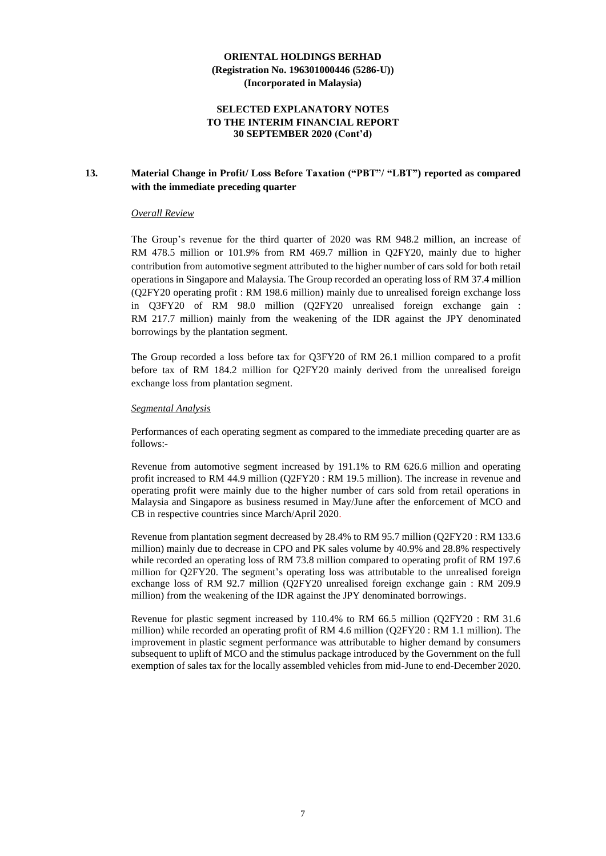### **SELECTED EXPLANATORY NOTES TO THE INTERIM FINANCIAL REPORT 30 SEPTEMBER 2020 (Cont'd)**

# **13. Material Change in Profit/ Loss Before Taxation ("PBT"/ "LBT") reported as compared with the immediate preceding quarter**

#### *Overall Review*

The Group's revenue for the third quarter of 2020 was RM 948.2 million, an increase of RM 478.5 million or 101.9% from RM 469.7 million in Q2FY20, mainly due to higher contribution from automotive segment attributed to the higher number of cars sold for both retail operations in Singapore and Malaysia. The Group recorded an operating loss of RM 37.4 million (Q2FY20 operating profit : RM 198.6 million) mainly due to unrealised foreign exchange loss in Q3FY20 of RM 98.0 million (Q2FY20 unrealised foreign exchange gain : RM 217.7 million) mainly from the weakening of the IDR against the JPY denominated borrowings by the plantation segment.

The Group recorded a loss before tax for Q3FY20 of RM 26.1 million compared to a profit before tax of RM 184.2 million for Q2FY20 mainly derived from the unrealised foreign exchange loss from plantation segment.

#### *Segmental Analysis*

Performances of each operating segment as compared to the immediate preceding quarter are as follows:-

Revenue from automotive segment increased by 191.1% to RM 626.6 million and operating profit increased to RM 44.9 million (Q2FY20 : RM 19.5 million). The increase in revenue and operating profit were mainly due to the higher number of cars sold from retail operations in Malaysia and Singapore as business resumed in May/June after the enforcement of MCO and CB in respective countries since March/April 2020.

Revenue from plantation segment decreased by 28.4% to RM 95.7 million (Q2FY20 : RM 133.6 million) mainly due to decrease in CPO and PK sales volume by 40.9% and 28.8% respectively while recorded an operating loss of RM 73.8 million compared to operating profit of RM 197.6 million for Q2FY20. The segment's operating loss was attributable to the unrealised foreign exchange loss of RM 92.7 million (Q2FY20 unrealised foreign exchange gain : RM 209.9 million) from the weakening of the IDR against the JPY denominated borrowings.

Revenue for plastic segment increased by 110.4% to RM 66.5 million (Q2FY20 : RM 31.6 million) while recorded an operating profit of RM 4.6 million (Q2FY20 : RM 1.1 million). The improvement in plastic segment performance was attributable to higher demand by consumers subsequent to uplift of MCO and the stimulus package introduced by the Government on the full exemption of sales tax for the locally assembled vehicles from mid-June to end-December 2020.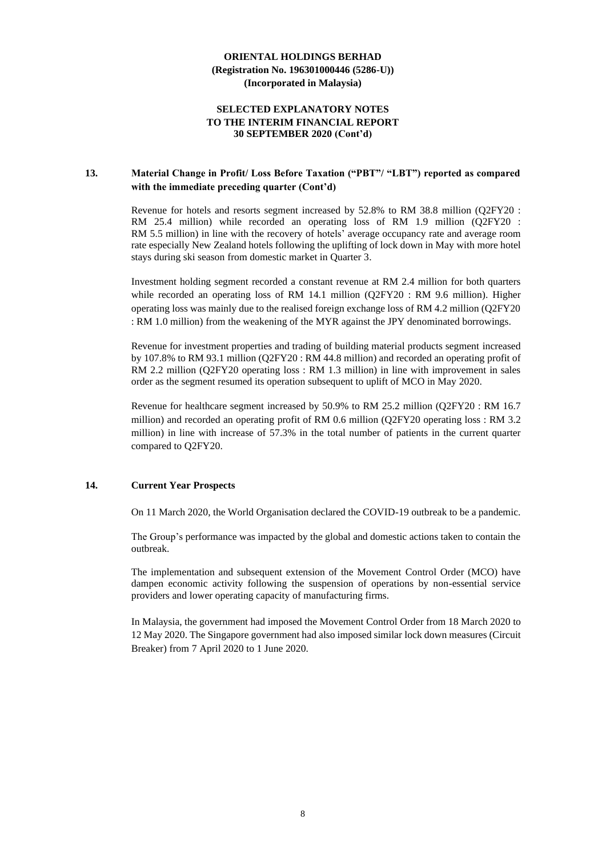### **SELECTED EXPLANATORY NOTES TO THE INTERIM FINANCIAL REPORT 30 SEPTEMBER 2020 (Cont'd)**

# **13. Material Change in Profit/ Loss Before Taxation ("PBT"/ "LBT") reported as compared with the immediate preceding quarter (Cont'd)**

Revenue for hotels and resorts segment increased by 52.8% to RM 38.8 million (Q2FY20 : RM 25.4 million) while recorded an operating loss of RM 1.9 million (Q2FY20 : RM 5.5 million) in line with the recovery of hotels' average occupancy rate and average room rate especially New Zealand hotels following the uplifting of lock down in May with more hotel stays during ski season from domestic market in Quarter 3.

Investment holding segment recorded a constant revenue at RM 2.4 million for both quarters while recorded an operating loss of RM 14.1 million (Q2FY20 : RM 9.6 million). Higher operating loss was mainly due to the realised foreign exchange loss of RM 4.2 million (Q2FY20 : RM 1.0 million) from the weakening of the MYR against the JPY denominated borrowings.

Revenue for investment properties and trading of building material products segment increased by 107.8% to RM 93.1 million (Q2FY20 : RM 44.8 million) and recorded an operating profit of RM 2.2 million (Q2FY20 operating loss : RM 1.3 million) in line with improvement in sales order as the segment resumed its operation subsequent to uplift of MCO in May 2020.

Revenue for healthcare segment increased by 50.9% to RM 25.2 million (Q2FY20 : RM 16.7 million) and recorded an operating profit of RM 0.6 million (Q2FY20 operating loss : RM 3.2 million) in line with increase of 57.3% in the total number of patients in the current quarter compared to Q2FY20.

### **14. Current Year Prospects**

On 11 March 2020, the World Organisation declared the COVID-19 outbreak to be a pandemic.

The Group's performance was impacted by the global and domestic actions taken to contain the outbreak.

The implementation and subsequent extension of the Movement Control Order (MCO) have dampen economic activity following the suspension of operations by non-essential service providers and lower operating capacity of manufacturing firms.

In Malaysia, the government had imposed the Movement Control Order from 18 March 2020 to 12 May 2020. The Singapore government had also imposed similar lock down measures (Circuit Breaker) from 7 April 2020 to 1 June 2020.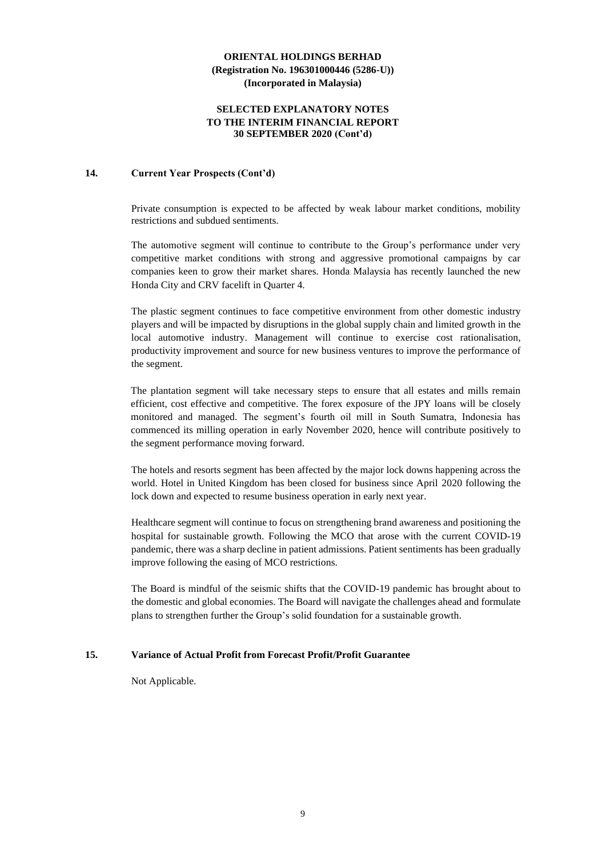### **SELECTED EXPLANATORY NOTES TO THE INTERIM FINANCIAL REPORT 30 SEPTEMBER 2020 (Cont'd)**

### **14. Current Year Prospects (Cont'd)**

Private consumption is expected to be affected by weak labour market conditions, mobility restrictions and subdued sentiments.

The automotive segment will continue to contribute to the Group's performance under very competitive market conditions with strong and aggressive promotional campaigns by car companies keen to grow their market shares. Honda Malaysia has recently launched the new Honda City and CRV facelift in Quarter 4.

The plastic segment continues to face competitive environment from other domestic industry players and will be impacted by disruptions in the global supply chain and limited growth in the local automotive industry. Management will continue to exercise cost rationalisation, productivity improvement and source for new business ventures to improve the performance of the segment.

The plantation segment will take necessary steps to ensure that all estates and mills remain efficient, cost effective and competitive. The forex exposure of the JPY loans will be closely monitored and managed. The segment's fourth oil mill in South Sumatra, Indonesia has commenced its milling operation in early November 2020, hence will contribute positively to the segment performance moving forward.

The hotels and resorts segment has been affected by the major lock downs happening across the world. Hotel in United Kingdom has been closed for business since April 2020 following the lock down and expected to resume business operation in early next year.

Healthcare segment will continue to focus on strengthening brand awareness and positioning the hospital for sustainable growth. Following the MCO that arose with the current COVID-19 pandemic, there was a sharp decline in patient admissions. Patient sentiments has been gradually improve following the easing of MCO restrictions.

The Board is mindful of the seismic shifts that the COVID-19 pandemic has brought about to the domestic and global economies. The Board will navigate the challenges ahead and formulate plans to strengthen further the Group's solid foundation for a sustainable growth.

# **15. Variance of Actual Profit from Forecast Profit/Profit Guarantee**

Not Applicable.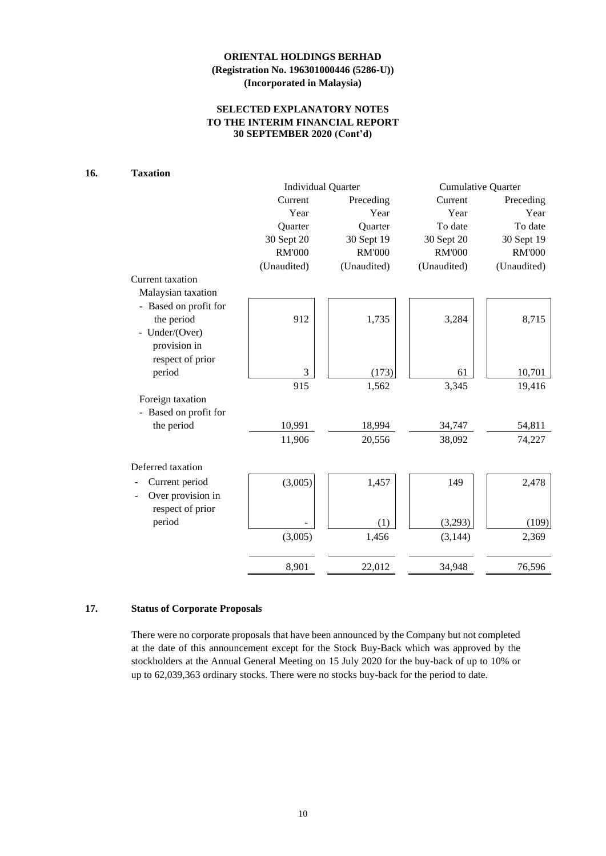# **SELECTED EXPLANATORY NOTES TO THE INTERIM FINANCIAL REPORT 30 SEPTEMBER 2020 (Cont'd)**

# **16. Taxation**

|                       | <b>Individual Quarter</b> |               | <b>Cumulative Quarter</b> |               |  |
|-----------------------|---------------------------|---------------|---------------------------|---------------|--|
|                       | Current                   | Preceding     | Current                   | Preceding     |  |
|                       | Year                      | Year          | Year                      | Year          |  |
|                       | Quarter                   | Quarter       | To date                   | To date       |  |
|                       | 30 Sept 20                | 30 Sept 19    | 30 Sept 20                | 30 Sept 19    |  |
|                       | <b>RM'000</b>             | <b>RM'000</b> | <b>RM'000</b>             | <b>RM'000</b> |  |
|                       | (Unaudited)               | (Unaudited)   | (Unaudited)               | (Unaudited)   |  |
| Current taxation      |                           |               |                           |               |  |
| Malaysian taxation    |                           |               |                           |               |  |
| - Based on profit for |                           |               |                           |               |  |
| the period            | 912                       | 1,735         | 3,284                     | 8,715         |  |
| - Under/(Over)        |                           |               |                           |               |  |
| provision in          |                           |               |                           |               |  |
| respect of prior      |                           |               |                           |               |  |
| period                | $\mathfrak{Z}$            | (173)         | 61                        | 10,701        |  |
|                       | 915                       | 1,562         | 3,345                     | 19,416        |  |
| Foreign taxation      |                           |               |                           |               |  |
| - Based on profit for |                           |               |                           |               |  |
| the period            | 10,991                    | 18,994        | 34,747                    | 54,811        |  |
|                       | 11,906                    | 20,556        | 38,092                    | 74,227        |  |
|                       |                           |               |                           |               |  |
| Deferred taxation     |                           |               |                           |               |  |
| Current period        | (3,005)                   | 1,457         | 149                       | 2,478         |  |
| Over provision in     |                           |               |                           |               |  |
| respect of prior      |                           |               |                           |               |  |
| period                |                           | (1)           | (3,293)                   | (109)         |  |
|                       | (3,005)                   | 1,456         | (3,144)                   | 2,369         |  |
|                       | 8,901                     | 22,012        | 34,948                    | 76,596        |  |

# **17. Status of Corporate Proposals**

There were no corporate proposals that have been announced by the Company but not completed at the date of this announcement except for the Stock Buy-Back which was approved by the stockholders at the Annual General Meeting on 15 July 2020 for the buy-back of up to 10% or up to 62,039,363 ordinary stocks. There were no stocks buy-back for the period to date.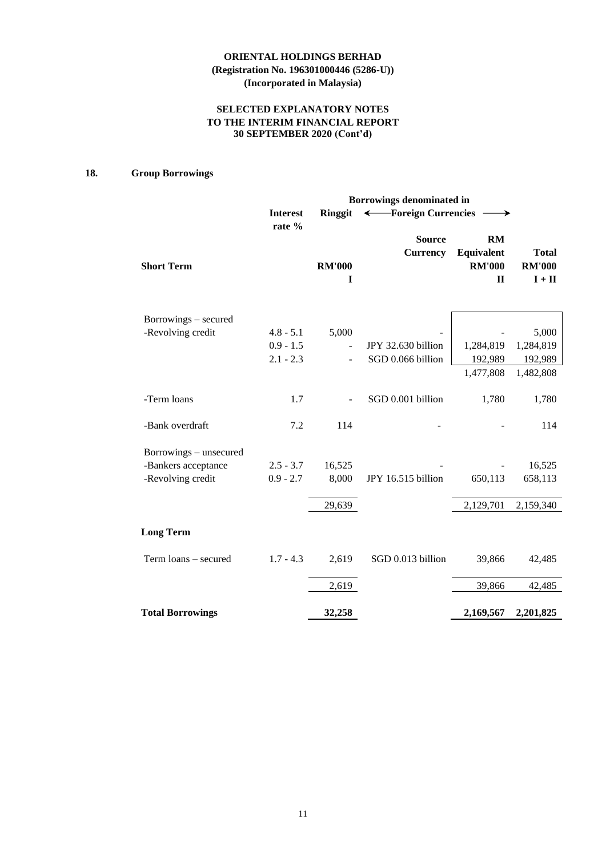# **SELECTED EXPLANATORY NOTES TO THE INTERIM FINANCIAL REPORT 30 SEPTEMBER 2020 (Cont'd)**

# **18. Group Borrowings**

|                         | Borrowings denominated in |                    |                                  |                                                   |                                                           |  |  |
|-------------------------|---------------------------|--------------------|----------------------------------|---------------------------------------------------|-----------------------------------------------------------|--|--|
|                         | <b>Interest</b>           | Ringgit            | ← Foreign Currencies             |                                                   |                                                           |  |  |
| <b>Short Term</b>       | rate %                    | <b>RM'000</b><br>I | <b>Source</b><br><b>Currency</b> | RM<br>Equivalent<br><b>RM'000</b><br>$\mathbf{I}$ | <b>Total</b><br><b>RM'000</b><br>$\mathbf{I}+\mathbf{II}$ |  |  |
| Borrowings – secured    |                           |                    |                                  |                                                   |                                                           |  |  |
| -Revolving credit       | $4.8 - 5.1$               | 5,000              |                                  |                                                   | 5,000                                                     |  |  |
|                         | $0.9 - 1.5$               |                    | JPY 32.630 billion               | 1,284,819                                         | 1,284,819                                                 |  |  |
|                         | $2.1 - 2.3$               |                    | SGD 0.066 billion                | 192,989                                           | 192,989                                                   |  |  |
|                         |                           |                    |                                  | 1,477,808                                         | 1,482,808                                                 |  |  |
| -Term loans             | 1.7                       |                    | SGD 0.001 billion                | 1,780                                             | 1,780                                                     |  |  |
| -Bank overdraft         | 7.2                       | 114                |                                  |                                                   | 114                                                       |  |  |
| Borrowings – unsecured  |                           |                    |                                  |                                                   |                                                           |  |  |
| -Bankers acceptance     | $2.5 - 3.7$               | 16,525             |                                  |                                                   | 16,525                                                    |  |  |
| -Revolving credit       | $0.9 - 2.7$               | 8,000              | JPY 16.515 billion               | 650,113                                           | 658,113                                                   |  |  |
|                         |                           | 29,639             |                                  | 2,129,701                                         | 2,159,340                                                 |  |  |
| <b>Long Term</b>        |                           |                    |                                  |                                                   |                                                           |  |  |
| Term loans - secured    | $1.7 - 4.3$               | 2,619              | SGD 0.013 billion                | 39,866                                            | 42,485                                                    |  |  |
|                         |                           | 2,619              |                                  | 39,866                                            | 42,485                                                    |  |  |
| <b>Total Borrowings</b> |                           | 32,258             |                                  | 2,169,567                                         | 2,201,825                                                 |  |  |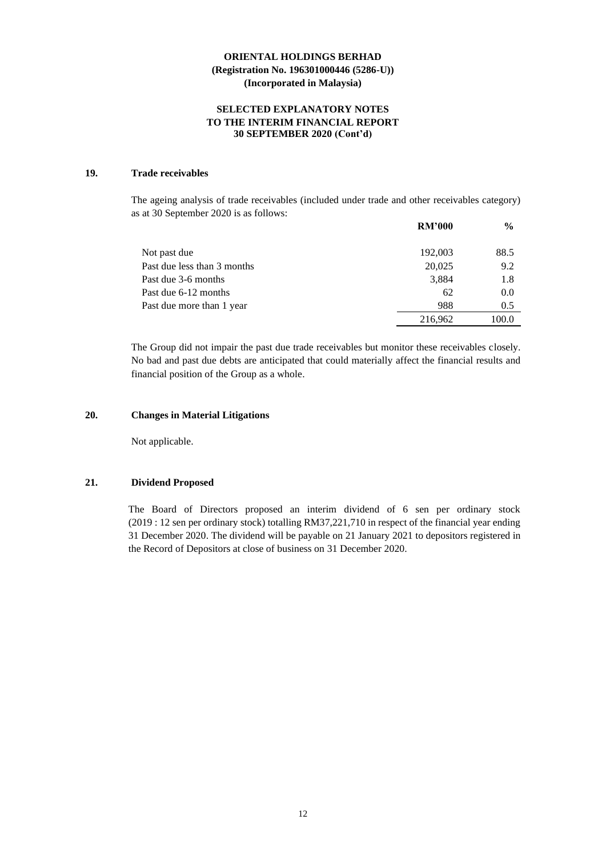### **SELECTED EXPLANATORY NOTES TO THE INTERIM FINANCIAL REPORT 30 SEPTEMBER 2020 (Cont'd)**

# **19. Trade receivables**

The ageing analysis of trade receivables (included under trade and other receivables category) as at 30 September 2020 is as follows:

|                             | <b>RM'000</b> | $\frac{6}{9}$ |
|-----------------------------|---------------|---------------|
| Not past due                | 192,003       | 88.5          |
| Past due less than 3 months | 20,025        | 9.2           |
| Past due 3-6 months         | 3,884         | 1.8           |
| Past due 6-12 months        | 62            | 0.0           |
| Past due more than 1 year   | 988           | 0.5           |
|                             | 216,962       | 100.0         |

The Group did not impair the past due trade receivables but monitor these receivables closely. No bad and past due debts are anticipated that could materially affect the financial results and financial position of the Group as a whole.

### **20. Changes in Material Litigations**

Not applicable.

#### **21. Dividend Proposed**

The Board of Directors proposed an interim dividend of 6 sen per ordinary stock (2019 : 12 sen per ordinary stock) totalling RM37,221,710 in respect of the financial year ending 31 December 2020. The dividend will be payable on 21 January 2021 to depositors registered in the Record of Depositors at close of business on 31 December 2020.